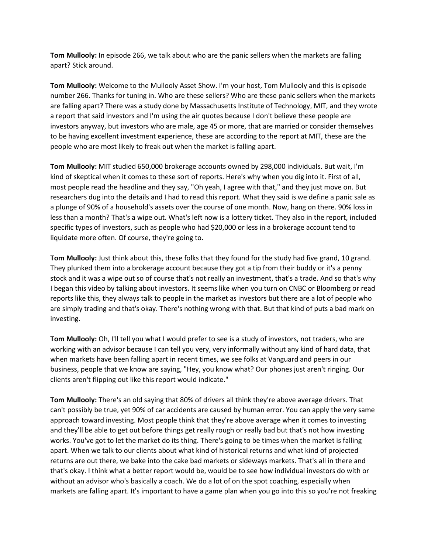**Tom Mullooly:** In episode 266, we talk about who are the panic sellers when the markets are falling apart? Stick around.

**Tom Mullooly:** Welcome to the Mullooly Asset Show. I'm your host, Tom Mullooly and this is episode number 266. Thanks for tuning in. Who are these sellers? Who are these panic sellers when the markets are falling apart? There was a study done by Massachusetts Institute of Technology, MIT, and they wrote a report that said investors and I'm using the air quotes because I don't believe these people are investors anyway, but investors who are male, age 45 or more, that are married or consider themselves to be having excellent investment experience, these are according to the report at MIT, these are the people who are most likely to freak out when the market is falling apart.

**Tom Mullooly:** MIT studied 650,000 brokerage accounts owned by 298,000 individuals. But wait, I'm kind of skeptical when it comes to these sort of reports. Here's why when you dig into it. First of all, most people read the headline and they say, "Oh yeah, I agree with that," and they just move on. But researchers dug into the details and I had to read this report. What they said is we define a panic sale as a plunge of 90% of a household's assets over the course of one month. Now, hang on there. 90% loss in less than a month? That's a wipe out. What's left now is a lottery ticket. They also in the report, included specific types of investors, such as people who had \$20,000 or less in a brokerage account tend to liquidate more often. Of course, they're going to.

**Tom Mullooly:** Just think about this, these folks that they found for the study had five grand, 10 grand. They plunked them into a brokerage account because they got a tip from their buddy or it's a penny stock and it was a wipe out so of course that's not really an investment, that's a trade. And so that's why I began this video by talking about investors. It seems like when you turn on CNBC or Bloomberg or read reports like this, they always talk to people in the market as investors but there are a lot of people who are simply trading and that's okay. There's nothing wrong with that. But that kind of puts a bad mark on investing.

**Tom Mullooly:** Oh, I'll tell you what I would prefer to see is a study of investors, not traders, who are working with an advisor because I can tell you very, very informally without any kind of hard data, that when markets have been falling apart in recent times, we see folks at Vanguard and peers in our business, people that we know are saying, "Hey, you know what? Our phones just aren't ringing. Our clients aren't flipping out like this report would indicate."

**Tom Mullooly:** There's an old saying that 80% of drivers all think they're above average drivers. That can't possibly be true, yet 90% of car accidents are caused by human error. You can apply the very same approach toward investing. Most people think that they're above average when it comes to investing and they'll be able to get out before things get really rough or really bad but that's not how investing works. You've got to let the market do its thing. There's going to be times when the market is falling apart. When we talk to our clients about what kind of historical returns and what kind of projected returns are out there, we bake into the cake bad markets or sideways markets. That's all in there and that's okay. I think what a better report would be, would be to see how individual investors do with or without an advisor who's basically a coach. We do a lot of on the spot coaching, especially when markets are falling apart. It's important to have a game plan when you go into this so you're not freaking